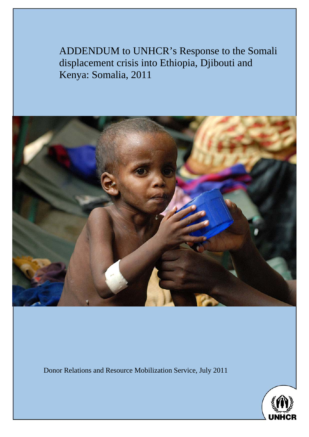ADDENDUM to UNHCR's Response to the Somali displacement crisis into Ethiopia, Djibouti and Kenya: Somalia, 2011



Donor Relations and Resource Mobilization Service, July 2011

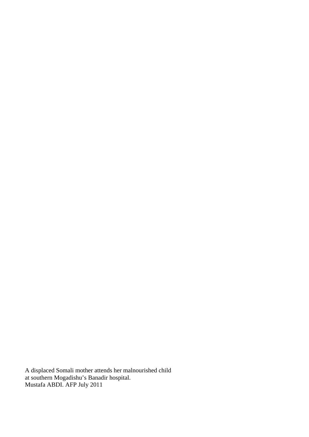A displaced Somali mother attends her malnourished child at southern Mogadishu's Banadir hospital. Mustafa ABDI. AFP July 2011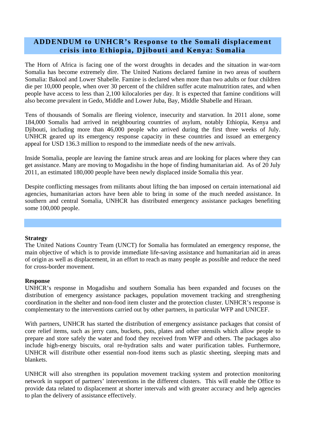# **ADDENDUM to UNHCR's Response to the Somali displacement crisis into Ethiopia, Djibouti and Kenya: Somalia**

The Horn of Africa is facing one of the worst droughts in decades and the situation in war-torn Somalia has become extremely dire. The United Nations declared famine in two areas of southern Somalia: Bakool and Lower Shabelle. Famine is declared when more than two adults or four children die per 10,000 people, when over 30 percent of the children suffer acute malnutrition rates, and when people have access to less than 2,100 kilocalories per day. It is expected that famine conditions will also become prevalent in Gedo, Middle and Lower Juba, Bay, Middle Shabelle and Hiraan.

Tens of thousands of Somalis are fleeing violence, insecurity and starvation. In 2011 alone, some 184,000 Somalis had arrived in neighbouring countries of asylum, notably Ethiopia, Kenya and Djibouti, including more than 46,000 people who arrived during the first three weeks of July. UNHCR geared up its emergency response capacity in these countries and issued an emergency appeal for USD 136.3 million to respond to the immediate needs of the new arrivals.

Inside Somalia, people are leaving the famine struck areas and are looking for places where they can get assistance. Many are moving to Mogadishu in the hope of finding humanitarian aid. As of 20 July 2011, an estimated 180,000 people have been newly displaced inside Somalia this year.

Despite conflicting messages from militants about lifting the ban imposed on certain international aid agencies, humanitarian actors have been able to bring in some of the much needed assistance. In southern and central Somalia, UNHCR has distributed emergency assistance packages benefiting some 100,000 people.

## **Strategy**

The United Nations Country Team (UNCT) for Somalia has formulated an emergency response, the main objective of which is to provide immediate life-saving assistance and humanitarian aid in areas of origin as well as displacement, in an effort to reach as many people as possible and reduce the need for cross-border movement.

## **Response**

UNHCR's response in Mogadishu and southern Somalia has been expanded and focuses on the distribution of emergency assistance packages, population movement tracking and strengthening coordination in the shelter and non-food item cluster and the protection cluster. UNHCR's response is complementary to the interventions carried out by other partners, in particular WFP and UNICEF.

With partners, UNHCR has started the distribution of emergency assistance packages that consist of core relief items, such as jerry cans, buckets, pots, plates and other utensils which allow people to prepare and store safely the water and food they received from WFP and others. The packages also include high-energy biscuits, oral re-hydration salts and water purification tables. Furthermore, UNHCR will distribute other essential non-food items such as plastic sheeting, sleeping mats and blankets.

UNHCR will also strengthen its population movement tracking system and protection monitoring network in support of partners' interventions in the different clusters. This will enable the Office to provide data related to displacement at shorter intervals and with greater accuracy and help agencies to plan the delivery of assistance effectively.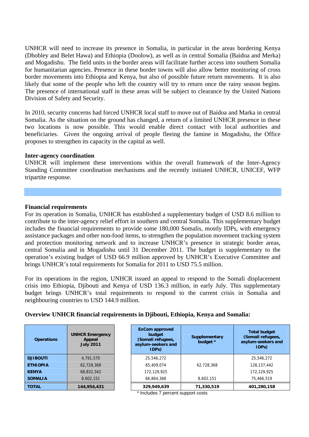UNHCR will need to increase its presence in Somalia, in particular in the areas bordering Kenya (Dhobley and Belet Hawa) and Ethiopia (Doolow), as well as in central Somalia (Baidoa and Merka) and Mogadishu. The field units in the border areas will facilitate further access into southern Somalia for humanitarian agencies. Presence in these border towns will also allow better monitoring of cross border movements into Ethiopia and Kenya, but also of possible future return movements. It is also likely that some of the people who left the country will try to return once the rainy season begins. The presence of international staff in these areas will be subject to clearance by the United Nations Division of Safety and Security.

In 2010, security concerns had forced UNHCR local staff to move out of Baidoa and Marka in central Somalia. As the situation on the ground has changed, a return of a limited UNHCR presence in these two locations is now possible. This would enable direct contact with local authorities and beneficiaries. Given the ongoing arrival of people fleeing the famine in Mogadishu, the Office proposes to strengthen its capacity in the capital as well.

#### **Inter-agency coordination**

UNHCR will implement these interventions within the overall framework of the Inter-Agency Standing Committee coordination mechanisms and the recently initiated UNHCR, UNICEF, WFP tripartite response.

#### **Financial requirements**

For its operation in Somalia, UNHCR has established a supplementary budget of USD 8.6 million to contribute to the inter-agency relief effort in southern and central Somalia. This supplementary budget includes the financial requirements to provide some 180,000 Somalis, mostly IDPs, with emergency assistance packages and other non-food items, to strengthen the population movement tracking system and protection monitoring network and to increase UNHCR's presence in strategic border areas, central Somalia and in Mogadishu until 31 December 2011. The budget is supplementary to the operation's existing budget of USD 66.9 million approved by UNHCR's Executive Committee and brings UNHCR's total requirements for Somalia for 2011 to USD 75.5 million.

For its operations in the region, UNHCR issued an appeal to respond to the Somali displacement crisis into Ethiopia, Djibouti and Kenya of USD 136.3 million, in early July. This supplementary budget brings UNHCR's total requirements to respond to the current crisis in Somalia and neighbouring countries to USD 144.9 million.

## **Overview UNHCR financial requirements in Djibouti, Ethiopia, Kenya and Somalia:**

| <b>Operations</b> | <b>UNHCR Emergency</b><br>Appeal<br><b>July 2011</b> |
|-------------------|------------------------------------------------------|
| <b>DJIBOUTI</b>   | 4,791,570                                            |
| <b>ETHIOPIA</b>   | 62,728,368                                           |
| <b>KENYA</b>      | 68,832,342                                           |
| <b>SOMALIA</b>    | 8,602,151                                            |
| <b>TOTAL</b>      | 144,954,431                                          |

| <b>Operations</b> | <b>UNHCR Emergency</b><br>Appeal<br><b>July 2011</b> | <b>ExCom approved</b><br>budget<br>(Somali refugees,<br>asylum-seekers and<br>IDPs) | Supplementary<br>budget * | <b>Total budget</b><br>(Somali refugees,<br>asylum-seekers and<br>(IDPs) |
|-------------------|------------------------------------------------------|-------------------------------------------------------------------------------------|---------------------------|--------------------------------------------------------------------------|
| <b>DJIBOUTI</b>   | 4,791,570                                            | 25,546,272                                                                          |                           | 25,546,272                                                               |
| ETHIOPIA          | 62,728,368                                           | 65,409,074                                                                          | 62.728.368                | 128, 137, 442                                                            |
| KENYA             | 68,832,342                                           | 172,129,925                                                                         |                           | 172,129,925                                                              |
| SOMALIA           | 8,602,151                                            | 66,864,368                                                                          | 8,602,151                 | 75,466,519                                                               |
| TOTAL             | 144,954,431                                          | 329,949,639                                                                         | 71,330,519                | 401,280,158                                                              |

\* Includes 7 percent support costs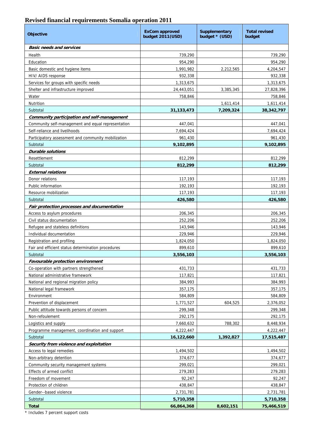## **Revised financial requirements Somalia operation 2011**

| <b>Objective</b>                                    | <b>ExCom approved</b><br>budget 2011(USD) | <b>Supplementary</b><br>budget * (USD) | <b>Total revised</b><br>budget |
|-----------------------------------------------------|-------------------------------------------|----------------------------------------|--------------------------------|
| <b>Basic needs and services</b>                     |                                           |                                        |                                |
| Health                                              | 739,290                                   |                                        | 739,290                        |
| Education                                           | 954,290                                   |                                        | 954,290                        |
| Basic domestic and hygiene items                    | 1,991,982                                 | 2,212,565                              | 4,204,547                      |
| HIV/ AIDS response                                  | 932,338                                   |                                        | 932,338                        |
| Services for groups with specific needs             | 1,313,675                                 |                                        | 1,313,675                      |
| Shelter and infrastructure improved                 | 24,443,051                                | 3,385,345                              | 27,828,396                     |
| Water                                               | 758,846                                   |                                        | 758,846                        |
| Nutrition                                           |                                           | 1,611,414                              | 1,611,414                      |
| Subtotal                                            | 31,133,473                                | 7,209,324                              | 38,342,797                     |
| Community participation and self-management         |                                           |                                        |                                |
| Community self-management and equal representation  | 447,041                                   |                                        | 447,041                        |
| Self-reliance and livelihoods                       | 7,694,424                                 |                                        | 7,694,424                      |
| Participatory assessment and community mobilization | 961,430                                   |                                        | 961,430                        |
| Subtotal                                            | 9,102,895                                 |                                        | 9,102,895                      |
| <b>Durable solutions</b>                            |                                           |                                        |                                |
| Resettlement                                        | 812,299                                   |                                        | 812,299                        |
| Subtotal                                            | 812,299                                   |                                        | 812,299                        |
| <b>External relations</b>                           |                                           |                                        |                                |
| Donor relations                                     | 117,193                                   |                                        | 117,193                        |
| Public information                                  | 192,193                                   |                                        | 192,193                        |
| Resource mobilization                               | 117,193                                   |                                        | 117,193                        |
| Subtotal                                            | 426,580                                   |                                        | 426,580                        |
| Fair protection processes and documentation         |                                           |                                        |                                |
| Access to asylum procedures                         | 206,345                                   |                                        | 206,345                        |
| Civil status documentation                          | 252,206                                   |                                        | 252,206                        |
| Refugee and stateless definitions                   | 143,946                                   |                                        | 143,946                        |
| Individual documentation                            | 229,946                                   |                                        | 229,946                        |
| Registration and profiling                          | 1,824,050                                 |                                        | 1,824,050                      |
| Fair and efficient status determination procedures  | 899,610                                   |                                        | 899,610                        |
| Subtotal                                            | 3,556,103                                 |                                        | 3,556,103                      |
| Favourable protection environment                   |                                           |                                        |                                |
| Co-operation with partners strengthened             | 431,733                                   |                                        | 431,733                        |
| National administrative framework                   | 117,821                                   |                                        | 117,821                        |
| National and regional migration policy              | 384,993                                   |                                        | 384,993                        |
| National legal framework                            | 357,175                                   |                                        | 357,175                        |
| Environment                                         | 584,809                                   |                                        | 584,809                        |
| Prevention of displacement                          | 1,771,527                                 | 604,525                                | 2,376,052                      |
| Public attitude towards persons of concern          | 299,348                                   |                                        | 299,348                        |
| Non-refoulement                                     | 292,175                                   |                                        | 292,175                        |
| Logistics and supply                                | 7,660,632                                 | 788,302                                | 8,448,934                      |
| Programme management, coordination and support      | 4,222,447                                 |                                        | 4,222,447                      |
| Subtotal                                            | 16,122,660                                | 1,392,827                              | 17,515,487                     |
| Security from violence and exploitation             |                                           |                                        |                                |
| Access to legal remedies                            | 1,494,502                                 |                                        | 1,494,502                      |
| Non-arbitrary detention                             | 374,677                                   |                                        | 374,677                        |
| Community security management systems               | 299,021                                   |                                        | 299,021                        |
| Effects of armed conflict                           | 279,283                                   |                                        | 279,283                        |
| Freedom of movement                                 | 92,247                                    |                                        | 92,247                         |
| Protection of children                              | 438,847                                   |                                        | 438,847                        |
| Gender--based violence                              | 2,731,781                                 |                                        | 2,731,781                      |
| Subtotal                                            | 5,710,358                                 |                                        | 5,710,358                      |
| <b>Total</b>                                        | 66,864,368                                | 8,602,151                              | 75,466,519                     |

\* Includes 7 percent support costs